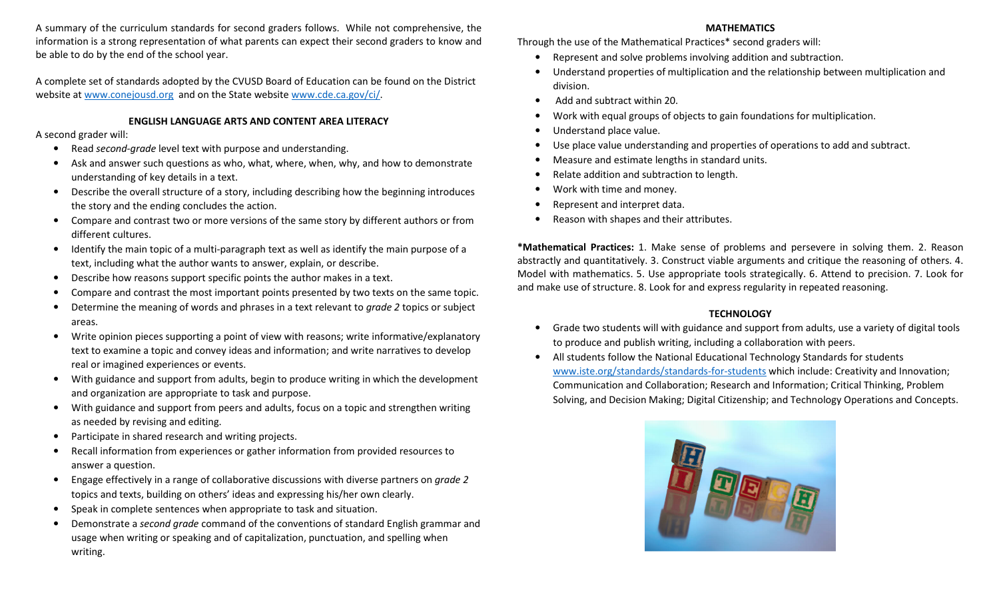A summary of the curriculum standards for second graders follows. While not comprehensive, the information is a strong representation of what parents can expect their second graders to know and be able to do by the end of the school year.

A complete set of standards adopted by the CVUSD Board of Education can be found on the District website at www.conejousd.org and on the State website www.cde.ca.gov/ci/.

## ENGLISH LANGUAGE ARTS AND CONTENT AREA LITERACY

A second grader will:

- $\bullet$ Read second-grade level text with purpose and understanding.
- • Ask and answer such questions as who, what, where, when, why, and how to demonstrate understanding of key details in a text.
- $\bullet$  Describe the overall structure of a story, including describing how the beginning introduces the story and the ending concludes the action.
- $\bullet$  Compare and contrast two or more versions of the same story by different authors or from different cultures.
- $\bullet$  Identify the main topic of a multi-paragraph text as well as identify the main purpose of a text, including what the author wants to answer, explain, or describe.
- •Describe how reasons support specific points the author makes in a text.
- •Compare and contrast the most important points presented by two texts on the same topic.
- •Determine the meaning of words and phrases in a text relevant to *grade 2* topics or subject areas.
- $\bullet$  Write opinion pieces supporting a point of view with reasons; write informative/explanatory text to examine a topic and convey ideas and information; and write narratives to develop real or imagined experiences or events.
- $\bullet$  With guidance and support from adults, begin to produce writing in which the development and organization are appropriate to task and purpose.
- $\bullet$  With guidance and support from peers and adults, focus on a topic and strengthen writing as needed by revising and editing.
- •Participate in shared research and writing projects.
- • Recall information from experiences or gather information from provided resources to answer a question.
- • Engage effectively in a range of collaborative discussions with diverse partners on grade 2topics and texts, building on others' ideas and expressing his/her own clearly.
- •Speak in complete sentences when appropriate to task and situation.
- • Demonstrate a second grade command of the conventions of standard English grammar and usage when writing or speaking and of capitalization, punctuation, and spelling when writing.

## MATHEMATICS

Through the use of the Mathematical Practices\* second graders will:

- •Represent and solve problems involving addition and subtraction.
- • Understand properties of multiplication and the relationship between multiplication and division.
- Add and subtract within 20.
- •Work with equal groups of objects to gain foundations for multiplication.
- •Understand place value.
- •Use place value understanding and properties of operations to add and subtract.
- •Measure and estimate lengths in standard units.
- •Relate addition and subtraction to length.
- •Work with time and money.
- •Represent and interpret data.
- •Reason with shapes and their attributes.

\*Mathematical Practices: 1. Make sense of problems and persevere in solving them. 2. Reason abstractly and quantitatively. 3. Construct viable arguments and critique the reasoning of others. 4. Model with mathematics. 5. Use appropriate tools strategically. 6. Attend to precision. 7. Look for and make use of structure. 8. Look for and express regularity in repeated reasoning.

# **TECHNOLOGY**

- • Grade two students will with guidance and support from adults, use a variety of digital tools to produce and publish writing, including a collaboration with peers.
- • All students follow the National Educational Technology Standards for students www.iste.org/standards/standards-for-students which include: Creativity and Innovation; Communication and Collaboration; Research and Information; Critical Thinking, Problem Solving, and Decision Making; Digital Citizenship; and Technology Operations and Concepts.